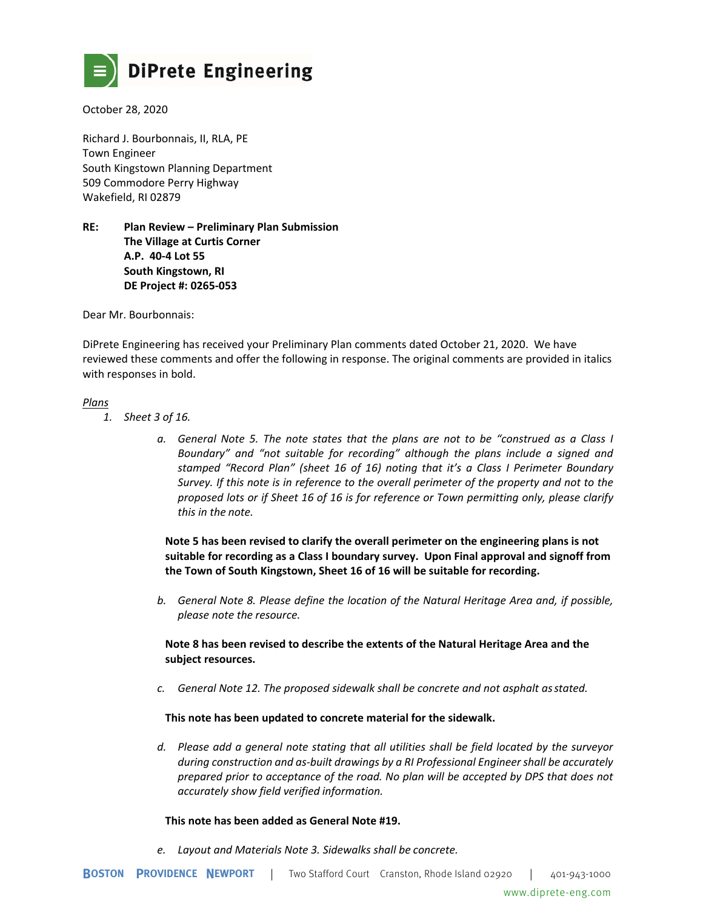

October 28, 2020

Richard J. Bourbonnais, II, RLA, PE Town Engineer South Kingstown Planning Department 509 Commodore Perry Highway Wakefield, RI 02879

**RE: Plan Review – Preliminary Plan Submission The Village at Curtis Corner A.P. 40-4 Lot 55 South Kingstown, RI DE Project #: 0265-053** 

Dear Mr. Bourbonnais:

DiPrete Engineering has received your Preliminary Plan comments dated October 21, 2020. We have reviewed these comments and offer the following in response. The original comments are provided in italics with responses in bold.

### *Plans*

- *1. Sheet 3 of 16.* 
	- *a. General Note 5. The note states that the plans are not to be "construed as a Class I Boundary" and "not suitable for recording" although the plans include a signed and stamped "Record Plan" (sheet 16 of 16) noting that it's a Class I Perimeter Boundary Survey. If this note is in reference to the overall perimeter of the property and not to the proposed lots or if Sheet 16 of 16 is for reference or Town permitting only, please clarify this in the note.*

**Note 5 has been revised to clarify the overall perimeter on the engineering plans is not suitable for recording as a Class I boundary survey. Upon Final approval and signoff from the Town of South Kingstown, Sheet 16 of 16 will be suitable for recording.** 

*b. General Note 8. Please define the location of the Natural Heritage Area and, if possible, please note the resource.* 

**Note 8 has been revised to describe the extents of the Natural Heritage Area and the subject resources.** 

*c. General Note 12. The proposed sidewalk shall be concrete and not asphalt as stated.* 

### **This note has been updated to concrete material for the sidewalk.**

*d. Please add a general note stating that all utilities shall be field located by the surveyor during construction and as-built drawings by a RI Professional Engineer shall be accurately prepared prior to acceptance of the road. No plan will be accepted by DPS that does not accurately show field verified information.* 

### **This note has been added as General Note #19.**

*e. Layout and Materials Note 3. Sidewalks shall be concrete.*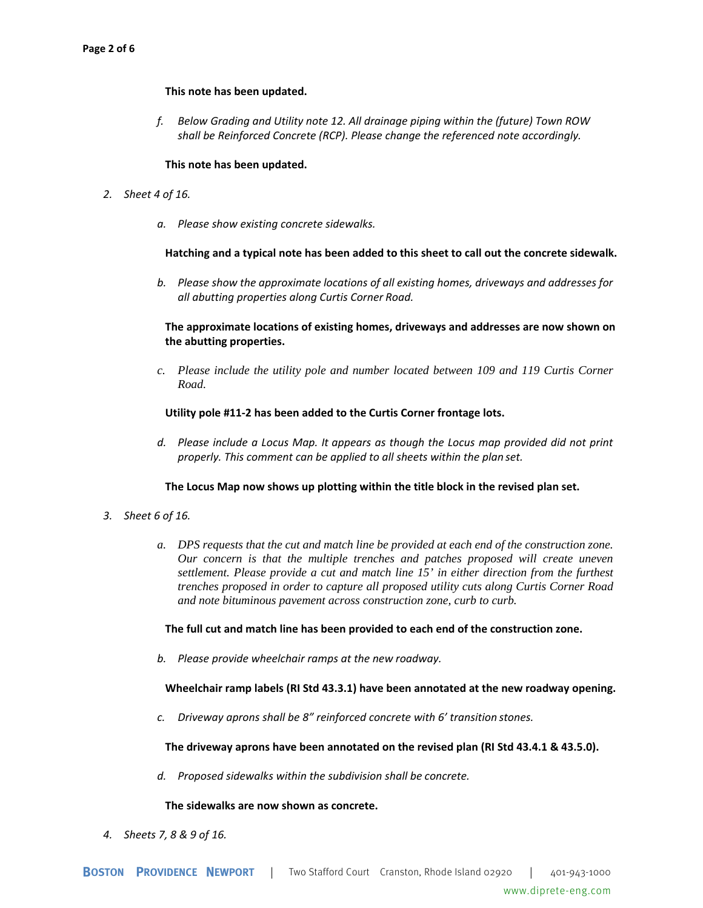### **This note has been updated.**

*f. Below Grading and Utility note 12. All drainage piping within the (future) Town ROW shall be Reinforced Concrete (RCP). Please change the referenced note accordingly.* 

### **This note has been updated.**

- *2. Sheet 4 of 16.* 
	- *a. Please show existing concrete sidewalks.*

### **Hatching and a typical note has been added to this sheet to call out the concrete sidewalk.**

*b. Please show the approximate locations of all existing homes, driveways and addresses for all abutting properties along Curtis Corner Road.* 

**The approximate locations of existing homes, driveways and addresses are now shown on the abutting properties.** 

*c. Please include the utility pole and number located between 109 and 119 Curtis Corner Road.* 

### **Utility pole #11-2 has been added to the Curtis Corner frontage lots.**

*d. Please include a Locus Map. It appears as though the Locus map provided did not print properly. This comment can be applied to all sheets within the plan set.* 

### **The Locus Map now shows up plotting within the title block in the revised plan set.**

- *3. Sheet 6 of 16.* 
	- *a. DPS requests that the cut and match line be provided at each end of the construction zone. Our concern is that the multiple trenches and patches proposed will create uneven settlement. Please provide a cut and match line 15' in either direction from the furthest trenches proposed in order to capture all proposed utility cuts along Curtis Corner Road and note bituminous pavement across construction zone, curb to curb.*

### **The full cut and match line has been provided to each end of the construction zone.**

*b. Please provide wheelchair ramps at the new roadway.* 

# **Wheelchair ramp labels (RI Std 43.3.1) have been annotated at the new roadway opening.**

*c. Driveway aprons shall be 8" reinforced concrete with 6' transition stones.* 

# **The driveway aprons have been annotated on the revised plan (RI Std 43.4.1 & 43.5.0).**

*d. Proposed sidewalks within the subdivision shall be concrete.* 

### **The sidewalks are now shown as concrete.**

*4. Sheets 7, 8 & 9 of 16.*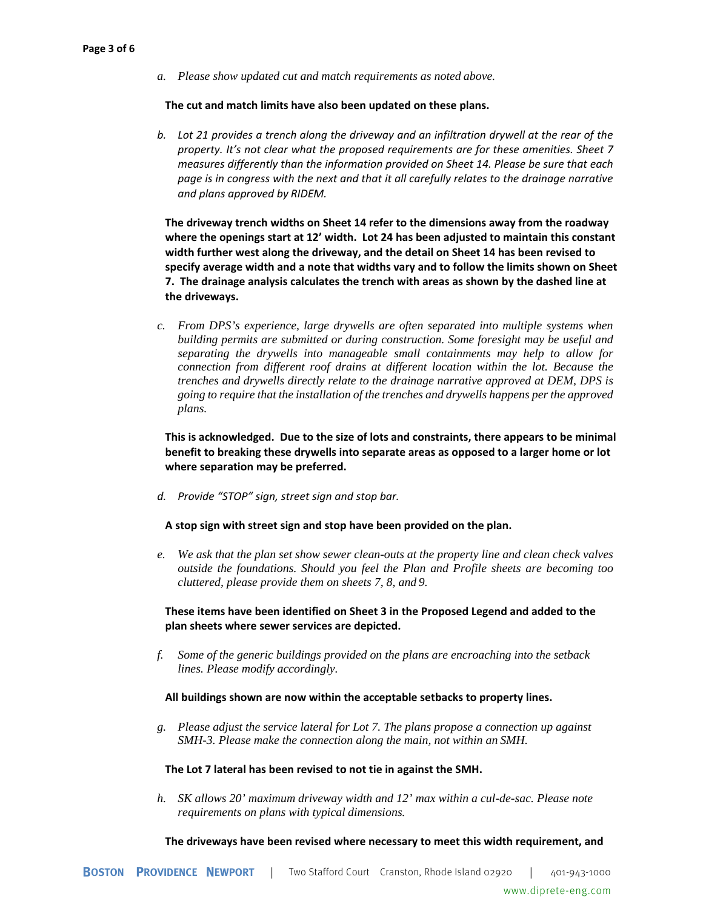*a. Please show updated cut and match requirements as noted above.* 

### **The cut and match limits have also been updated on these plans.**

*b. Lot 21 provides a trench along the driveway and an infiltration drywell at the rear of the property. It's not clear what the proposed requirements are for these amenities. Sheet 7 measures differently than the information provided on Sheet 14. Please be sure that each page is in congress with the next and that it all carefully relates to the drainage narrative and plans approved by RIDEM.* 

**The driveway trench widths on Sheet 14 refer to the dimensions away from the roadway where the openings start at 12' width. Lot 24 has been adjusted to maintain this constant width further west along the driveway, and the detail on Sheet 14 has been revised to specify average width and a note that widths vary and to follow the limits shown on Sheet 7. The drainage analysis calculates the trench with areas as shown by the dashed line at the driveways.** 

*c. From DPS's experience, large drywells are often separated into multiple systems when building permits are submitted or during construction. Some foresight may be useful and separating the drywells into manageable small containments may help to allow for connection from different roof drains at different location within the lot. Because the trenches and drywells directly relate to the drainage narrative approved at DEM, DPS is going to require that the installation of the trenches and drywells happens per the approved plans.* 

**This is acknowledged. Due to the size of lots and constraints, there appears to be minimal benefit to breaking these drywells into separate areas as opposed to a larger home or lot where separation may be preferred.** 

*d. Provide "STOP" sign, street sign and stop bar.* 

# **A stop sign with street sign and stop have been provided on the plan.**

*e. We ask that the plan set show sewer clean-outs at the property line and clean check valves outside the foundations. Should you feel the Plan and Profile sheets are becoming too cluttered, please provide them on sheets 7, 8, and 9.* 

**These items have been identified on Sheet 3 in the Proposed Legend and added to the plan sheets where sewer services are depicted.** 

*f. Some of the generic buildings provided on the plans are encroaching into the setback lines. Please modify accordingly.* 

### **All buildings shown are now within the acceptable setbacks to property lines.**

*g. Please adjust the service lateral for Lot 7. The plans propose a connection up against SMH-3. Please make the connection along the main, not within an SMH.* 

### **The Lot 7 lateral has been revised to not tie in against the SMH.**

*h. SK allows 20' maximum driveway width and 12' max within a cul-de-sac. Please note requirements on plans with typical dimensions.* 

**The driveways have been revised where necessary to meet this width requirement, and**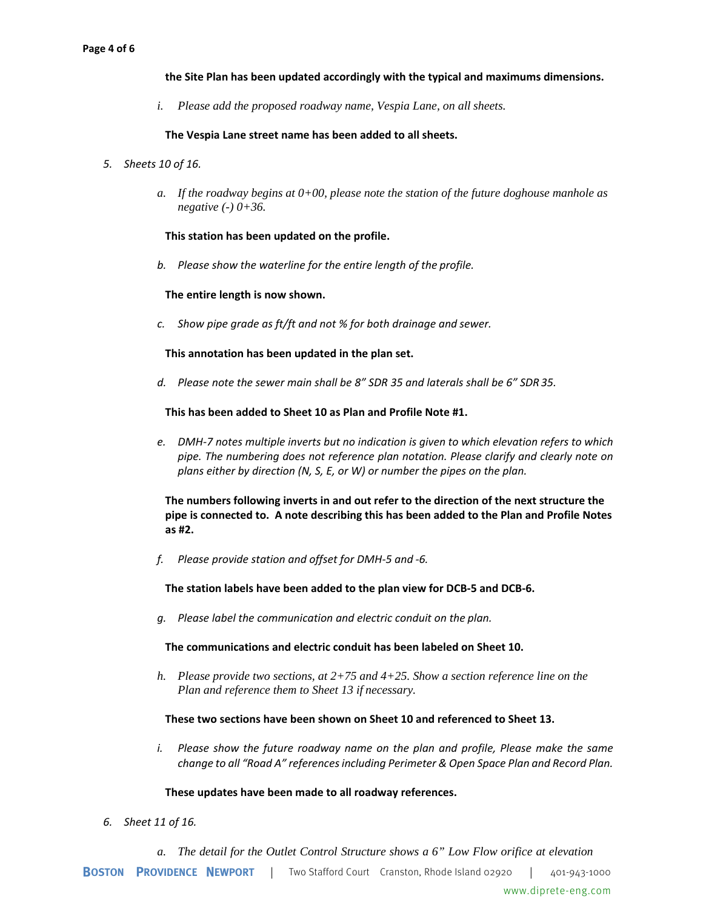### **the Site Plan has been updated accordingly with the typical and maximums dimensions.**

*i. Please add the proposed roadway name, Vespia Lane, on all sheets.* 

### **The Vespia Lane street name has been added to all sheets.**

- *5. Sheets 10 of 16.* 
	- *a. If the roadway begins at 0+00, please note the station of the future doghouse manhole as negative (-) 0+36.*

### **This station has been updated on the profile.**

*b. Please show the waterline for the entire length of the profile.* 

### **The entire length is now shown.**

*c. Show pipe grade as ft/ft and not % for both drainage and sewer.* 

### **This annotation has been updated in the plan set.**

*d. Please note the sewer main shall be 8" SDR 35 and laterals shall be 6" SDR 35.* 

### **This has been added to Sheet 10 as Plan and Profile Note #1.**

*e. DMH-7 notes multiple inverts but no indication is given to which elevation refers to which pipe. The numbering does not reference plan notation. Please clarify and clearly note on plans either by direction (N, S, E, or W) or number the pipes on the plan.* 

**The numbers following inverts in and out refer to the direction of the next structure the pipe is connected to. A note describing this has been added to the Plan and Profile Notes as #2.** 

*f. Please provide station and offset for DMH-5 and -6.* 

**The station labels have been added to the plan view for DCB-5 and DCB-6.** 

*g. Please label the communication and electric conduit on the plan.* 

### **The communications and electric conduit has been labeled on Sheet 10.**

*h. Please provide two sections, at 2+75 and 4+25. Show a section reference line on the Plan and reference them to Sheet 13 if necessary.* 

### **These two sections have been shown on Sheet 10 and referenced to Sheet 13.**

*i.* Please show the future roadway name on the plan and profile, Please make the same *change to all "Road A" references including Perimeter & Open Space Plan and Record Plan.* 

### **These updates have been made to all roadway references.**

- *6. Sheet 11 of 16.* 
	- *a. The detail for the Outlet Control Structure shows a 6" Low Flow orifice at elevation*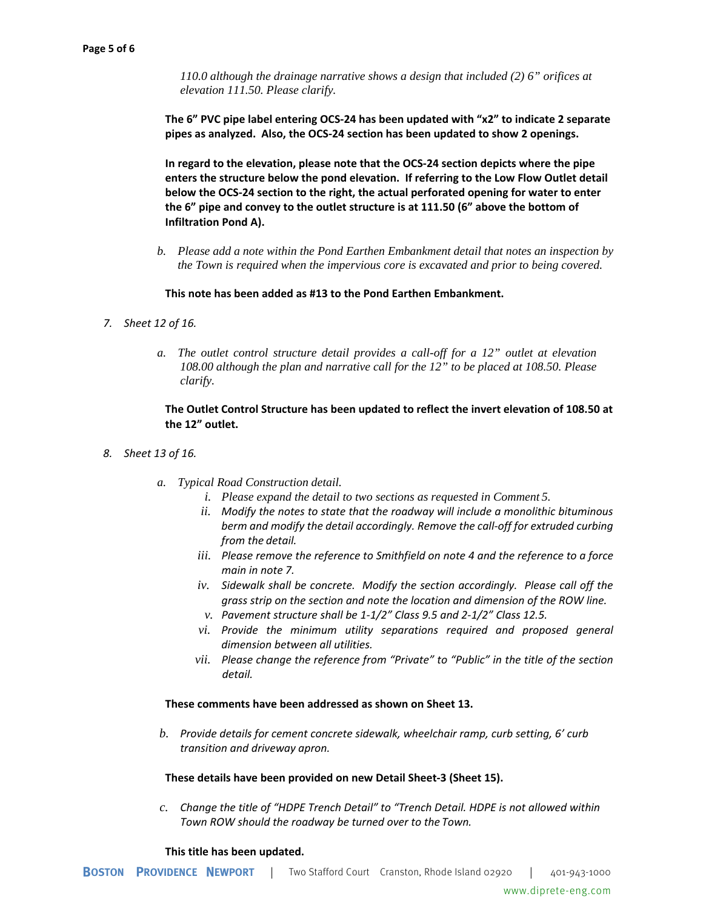*110.0 although the drainage narrative shows a design that included (2) 6" orifices at elevation 111.50. Please clarify.* 

**The 6" PVC pipe label entering OCS-24 has been updated with "x2" to indicate 2 separate pipes as analyzed. Also, the OCS-24 section has been updated to show 2 openings.** 

**In regard to the elevation, please note that the OCS-24 section depicts where the pipe enters the structure below the pond elevation. If referring to the Low Flow Outlet detail below the OCS-24 section to the right, the actual perforated opening for water to enter the 6" pipe and convey to the outlet structure is at 111.50 (6" above the bottom of Infiltration Pond A).** 

*b. Please add a note within the Pond Earthen Embankment detail that notes an inspection by the Town is required when the impervious core is excavated and prior to being covered.* 

### **This note has been added as #13 to the Pond Earthen Embankment.**

- *7. Sheet 12 of 16.* 
	- *a. The outlet control structure detail provides a call-off for a 12" outlet at elevation 108.00 although the plan and narrative call for the 12" to be placed at 108.50. Please clarify.*

# **The Outlet Control Structure has been updated to reflect the invert elevation of 108.50 at the 12" outlet.**

- *8. Sheet 13 of 16.* 
	- *a. Typical Road Construction detail.* 
		- *i. Please expand the detail to two sections as requested in Comment 5.*
		- *ii. Modify the notes to state that the roadway will include a monolithic bituminous berm and modify the detail accordingly. Remove the call-off for extruded curbing from the detail.*
		- *iii. Please remove the reference to Smithfield on note 4 and the reference to a force main in note 7.*
		- *iv. Sidewalk shall be concrete. Modify the section accordingly. Please call off the grass strip on the section and note the location and dimension of the ROW line.*
		- *v. Pavement structure shall be 1-1/2" Class 9.5 and 2-1/2" Class 12.5.*
		- *vi. Provide the minimum utility separations required and proposed general dimension between all utilities.*
		- *vii. Please change the reference from "Private" to "Public" in the title of the section detail.*

### **These comments have been addressed as shown on Sheet 13.**

*b. Provide details for cement concrete sidewalk, wheelchair ramp, curb setting, 6' curb transition and driveway apron.* 

### **These details have been provided on new Detail Sheet-3 (Sheet 15).**

*c. Change the title of "HDPE Trench Detail" to "Trench Detail. HDPE is not allowed within Town ROW should the roadway be turned over to the Town.* 

### **This title has been updated.**